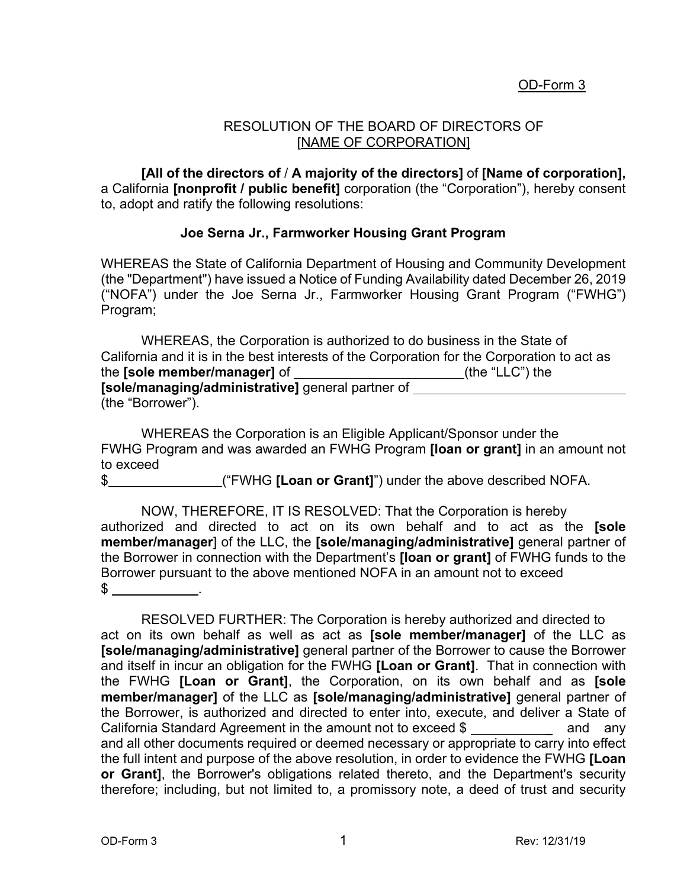## OD-Form 3

## RESOLUTION OF THE BOARD OF DIRECTORS OF [NAME OF CORPORATION]

**[All of the directors of** / **A majority of the directors]** of **[Name of corporation],**  a California **[nonprofit / public benefit]** corporation (the "Corporation"), hereby consent to, adopt and ratify the following resolutions:

## **Joe Serna Jr., Farmworker Housing Grant Program**

WHEREAS the State of California Department of Housing and Community Development (the "Department") have issued a Notice of Funding Availability dated December 26, 2019 ("NOFA") under the Joe Serna Jr., Farmworker Housing Grant Program ("FWHG") Program;

| WHEREAS, the Corporation is authorized to do business in the State of                       |                 |
|---------------------------------------------------------------------------------------------|-----------------|
| California and it is in the best interests of the Corporation for the Corporation to act as |                 |
| the <b>[sole member/manager]</b> of                                                         | (the "LLC") the |
| [sole/managing/administrative] general partner of                                           |                 |
| (the "Borrower").                                                                           |                 |

WHEREAS the Corporation is an Eligible Applicant/Sponsor under the FWHG Program and was awarded an FWHG Program **[loan or grant]** in an amount not to exceed

\$ ("FWHG **[Loan or Grant]**") under the above described NOFA.

NOW, THEREFORE, IT IS RESOLVED: That the Corporation is hereby authorized and directed to act on its own behalf and to act as the **[sole member/manager**] of the LLC, the **[sole/managing/administrative]** general partner of the Borrower in connection with the Department's **[loan or grant]** of FWHG funds to the Borrower pursuant to the above mentioned NOFA in an amount not to exceed  $\mathbb S$  .

RESOLVED FURTHER: The Corporation is hereby authorized and directed to act on its own behalf as well as act as **[sole member/manager]** of the LLC as **[sole/managing/administrative]** general partner of the Borrower to cause the Borrower and itself in incur an obligation for the FWHG **[Loan or Grant]**. That in connection with the FWHG **[Loan or Grant]**, the Corporation, on its own behalf and as **[sole member/manager]** of the LLC as **[sole/managing/administrative]** general partner of the Borrower, is authorized and directed to enter into, execute, and deliver a State of California Standard Agreement in the amount not to exceed  $\frac{1}{2}$  and any and all other documents required or deemed necessary or appropriate to carry into effect the full intent and purpose of the above resolution, in order to evidence the FWHG **[Loan or Grant]**, the Borrower's obligations related thereto, and the Department's security therefore; including, but not limited to, a promissory note, a deed of trust and security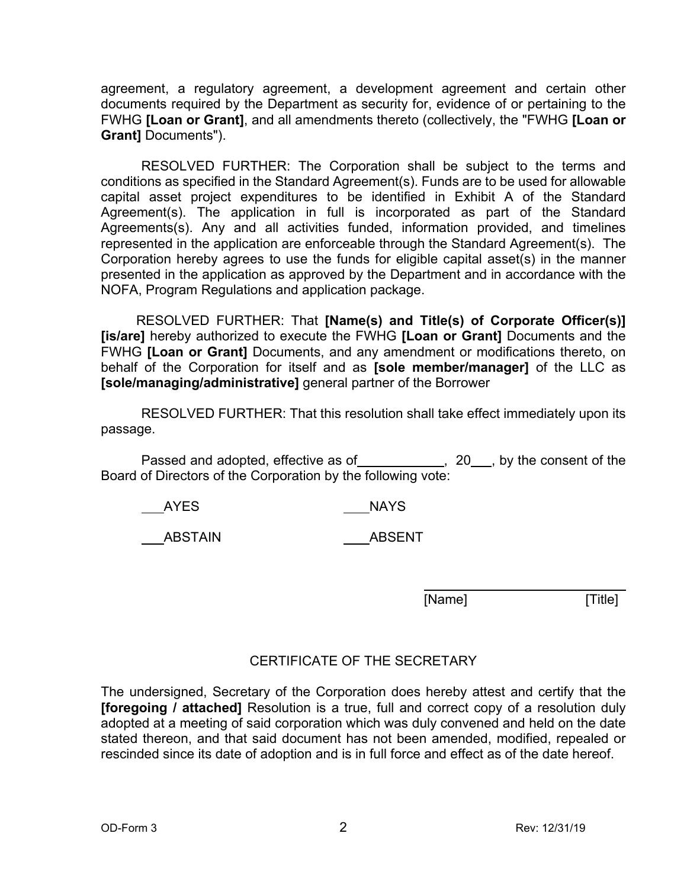agreement, a regulatory agreement, a development agreement and certain other documents required by the Department as security for, evidence of or pertaining to the FWHG **[Loan or Grant]**, and all amendments thereto (collectively, the "FWHG **[Loan or Grant]** Documents").

RESOLVED FURTHER: The Corporation shall be subject to the terms and conditions as specified in the Standard Agreement(s). Funds are to be used for allowable capital asset project expenditures to be identified in Exhibit A of the Standard Agreement(s). The application in full is incorporated as part of the Standard Agreements(s). Any and all activities funded, information provided, and timelines represented in the application are enforceable through the Standard Agreement(s). The Corporation hereby agrees to use the funds for eligible capital asset(s) in the manner presented in the application as approved by the Department and in accordance with the NOFA, Program Regulations and application package.

RESOLVED FURTHER: That **[Name(s) and Title(s) of Corporate Officer(s)] [is/are]** hereby authorized to execute the FWHG **[Loan or Grant]** Documents and the FWHG **[Loan or Grant]** Documents, and any amendment or modifications thereto, on behalf of the Corporation for itself and as **[sole member/manager]** of the LLC as **[sole/managing/administrative]** general partner of the Borrower

RESOLVED FURTHER: That this resolution shall take effect immediately upon its passage.

Passed and adopted, effective as of \_\_\_\_\_\_\_\_\_\_\_, 20\_\_\_, by the consent of the Board of Directors of the Corporation by the following vote:

AYES NAYS

ABSTAIN ABSENT

[Name] [Title]

## CERTIFICATE OF THE SECRETARY

The undersigned, Secretary of the Corporation does hereby attest and certify that the **[foregoing / attached]** Resolution is a true, full and correct copy of a resolution duly adopted at a meeting of said corporation which was duly convened and held on the date stated thereon, and that said document has not been amended, modified, repealed or rescinded since its date of adoption and is in full force and effect as of the date hereof.